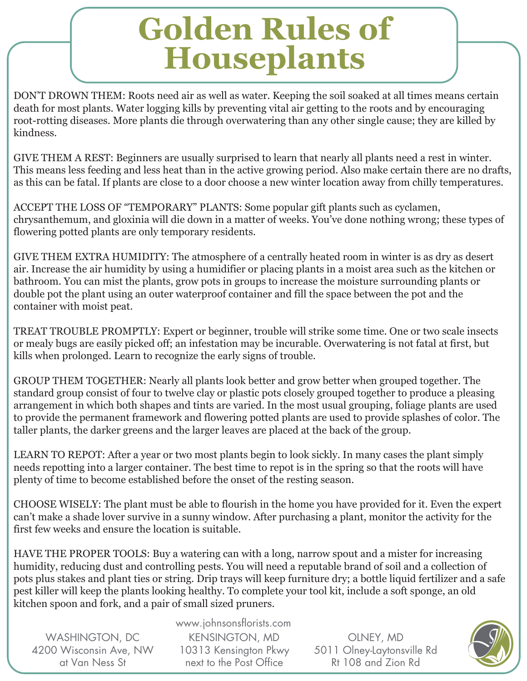## **Golden Rules of Houseplants**

DON'T DROWN THEM: Roots need air as well as water. Keeping the soil soaked at all times means certain death for most plants. Water logging kills by preventing vital air getting to the roots and by encouraging root-rotting diseases. More plants die through overwatering than any other single cause; they are killed by kindness.

GIVE THEM A REST: Beginners are usually surprised to learn that nearly all plants need a rest in winter. This means less feeding and less heat than in the active growing period. Also make certain there are no drafts, as this can be fatal. If plants are close to a door choose a new winter location away from chilly temperatures.

ACCEPT THE LOSS OF "TEMPORARY" PLANTS: Some popular gift plants such as cyclamen, chrysanthemum, and gloxinia will die down in a matter of weeks. You've done nothing wrong; these types of flowering potted plants are only temporary residents.

GIVE THEM EXTRA HUMIDITY: The atmosphere of a centrally heated room in winter is as dry as desert air. Increase the air humidity by using a humidifier or placing plants in a moist area such as the kitchen or bathroom. You can mist the plants, grow pots in groups to increase the moisture surrounding plants or double pot the plant using an outer waterproof container and fill the space between the pot and the container with moist peat.

TREAT TROUBLE PROMPTLY: Expert or beginner, trouble will strike some time. One or two scale insects or mealy bugs are easily picked off; an infestation may be incurable. Overwatering is not fatal at first, but kills when prolonged. Learn to recognize the early signs of trouble.

GROUP THEM TOGETHER: Nearly all plants look better and grow better when grouped together. The standard group consist of four to twelve clay or plastic pots closely grouped together to produce a pleasing arrangement in which both shapes and tints are varied. In the most usual grouping, foliage plants are used to provide the permanent framework and flowering potted plants are used to provide splashes of color. The taller plants, the darker greens and the larger leaves are placed at the back of the group.

LEARN TO REPOT: After a year or two most plants begin to look sickly. In many cases the plant simply needs repotting into a larger container. The best time to repot is in the spring so that the roots will have plenty of time to become established before the onset of the resting season.

CHOOSE WISELY: The plant must be able to flourish in the home you have provided for it. Even the expert can't make a shade lover survive in a sunny window. After purchasing a plant, monitor the activity for the first few weeks and ensure the location is suitable.

HAVE THE PROPER TOOLS: Buy a watering can with a long, narrow spout and a mister for increasing humidity, reducing dust and controlling pests. You will need a reputable brand of soil and a collection of pots plus stakes and plant ties or string. Drip trays will keep furniture dry; a bottle liquid fertilizer and a safe pest killer will keep the plants looking healthy. To complete your tool kit, include a soft sponge, an old kitchen spoon and fork, and a pair of small sized pruners.

WASHINGTON, DC 4200 Wisconsin Ave, NW at Van Ness St

www.johnsonsflorists.com KENSINGTON, MD 10313 Kensington Pkwy next to the Post Office

OLNEY, MD 5011 Olney-Laytonsville Rd Rt 108 and Zion Rd